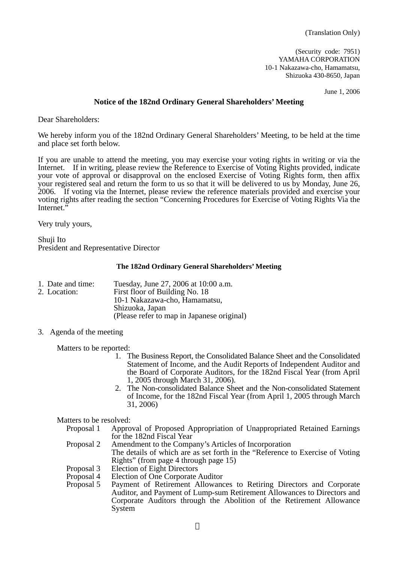(Security code: 7951) YAMAHA CORPORATION 10-1 Nakazawa-cho, Hamamatsu, Shizuoka 430-8650, Japan

June 1, 2006

#### **Notice of the 182nd Ordinary General Shareholders' Meeting**

Dear Shareholders:

We hereby inform you of the 182nd Ordinary General Shareholders' Meeting, to be held at the time and place set forth below.

If you are unable to attend the meeting, you may exercise your voting rights in writing or via the Internet. If in writing, please review the Reference to Exercise of Voting Rights provided, indicate your vote of approval or disapproval on the enclosed Exercise of Voting Rights form, then affix your registered seal and return the form to us so that it will be delivered to us by Monday, June 26, 2006. If voting via the Internet, please review the reference materials provided and exercise your voting rights after reading the section "Concerning Procedures for Exercise of Voting Rights Via the Internet."

Very truly yours,

Shuji Ito President and Representative Director

#### **The 182nd Ordinary General Shareholders' Meeting**

| 1. Date and time: | Tuesday, June 27, 2006 at 10:00 a.m.       |
|-------------------|--------------------------------------------|
| 2. Location:      | First floor of Building No. 18             |
|                   | 10-1 Nakazawa-cho, Hamamatsu,              |
|                   | Shizuoka, Japan                            |
|                   | (Please refer to map in Japanese original) |

3. Agenda of the meeting

Matters to be reported:

- 1. The Business Report, the Consolidated Balance Sheet and the Consolidated Statement of Income, and the Audit Reports of Independent Auditor and the Board of Corporate Auditors, for the 182nd Fiscal Year (from April 1, 2005 through March 31, 2006).
- 2. The Non-consolidated Balance Sheet and the Non-consolidated Statement of Income, for the 182nd Fiscal Year (from April 1, 2005 through March 31, 2006)

Matters to be resolved:

- Proposal 1 Approval of Proposed Appropriation of Unappropriated Retained Earnings for the 182nd Fiscal Year
- Proposal 2 Amendment to the Company's Articles of Incorporation The details of which are as set forth in the "Reference to Exercise of Voting Rights" (from page 4 through page 15)
- Proposal 3 Election of Eight Directors
- Proposal 4 Election of One Corporate Auditor
- Proposal 5 Payment of Retirement Allowances to Retiring Directors and Corporate Auditor, and Payment of Lump-sum Retirement Allowances to Directors and Corporate Auditors through the Abolition of the Retirement Allowance System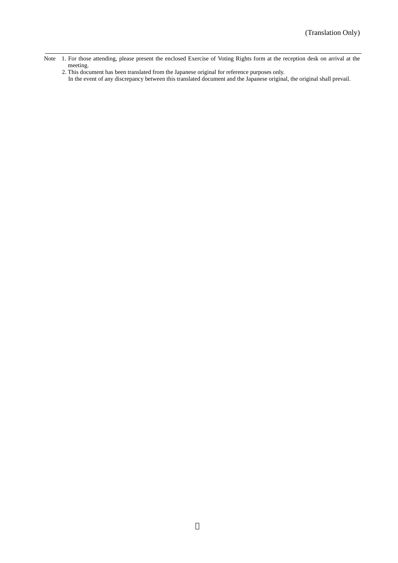- Note 1. For those attending, please present the enclosed Exercise of Voting Rights form at the reception desk on arrival at the meeting.
	- 2. This document has been translated from the Japanese original for reference purposes only.
	- In the event of any discrepancy between this translated document and the Japanese original, the original shall prevail.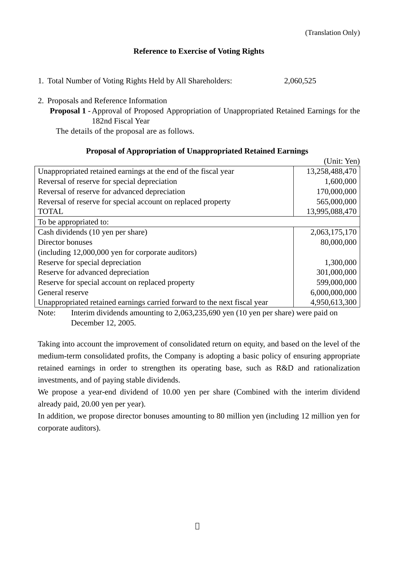$(1, 1, 1, 1)$ 

## **Reference to Exercise of Voting Rights**

- 1. Total Number of Voting Rights Held by All Shareholders: 2,060,525
- 2. Proposals and Reference Information
	- **Proposal 1** Approval of Proposed Appropriation of Unappropriated Retained Earnings for the 182nd Fiscal Year

The details of the proposal are as follows.

## **Proposal of Appropriation of Unappropriated Retained Earnings**

|                                                                          | Unit: Yen)     |
|--------------------------------------------------------------------------|----------------|
| Unappropriated retained earnings at the end of the fiscal year           | 13,258,488,470 |
| Reversal of reserve for special depreciation                             | 1,600,000      |
| Reversal of reserve for advanced depreciation                            | 170,000,000    |
| Reversal of reserve for special account on replaced property             | 565,000,000    |
| <b>TOTAL</b>                                                             | 13,995,088,470 |
| To be appropriated to:                                                   |                |
| Cash dividends (10 yen per share)                                        | 2,063,175,170  |
| Director bonuses                                                         | 80,000,000     |
| (including 12,000,000 yen for corporate auditors)                        |                |
| Reserve for special depreciation                                         | 1,300,000      |
| Reserve for advanced depreciation                                        | 301,000,000    |
| Reserve for special account on replaced property                         | 599,000,000    |
| General reserve                                                          | 6,000,000,000  |
| Unappropriated retained earnings carried forward to the next fiscal year | 4,950,613,300  |

Note: Interim dividends amounting to 2,063,235,690 yen (10 yen per share) were paid on December 12, 2005.

Taking into account the improvement of consolidated return on equity, and based on the level of the medium-term consolidated profits, the Company is adopting a basic policy of ensuring appropriate retained earnings in order to strengthen its operating base, such as R&D and rationalization investments, and of paying stable dividends.

We propose a year-end dividend of 10.00 yen per share (Combined with the interim dividend already paid, 20.00 yen per year).

In addition, we propose director bonuses amounting to 80 million yen (including 12 million yen for corporate auditors).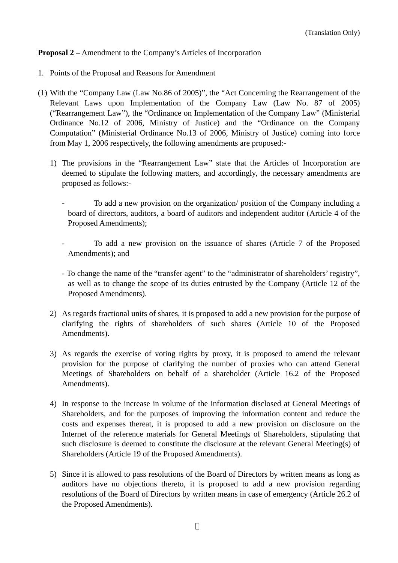# **Proposal 2** – Amendment to the Company's Articles of Incorporation

- 1. Points of the Proposal and Reasons for Amendment
- (1) With the "Company Law (Law No.86 of 2005)", the "Act Concerning the Rearrangement of the Relevant Laws upon Implementation of the Company Law (Law No. 87 of 2005) ("Rearrangement Law"), the "Ordinance on Implementation of the Company Law" (Ministerial Ordinance No.12 of 2006, Ministry of Justice) and the "Ordinance on the Company Computation" (Ministerial Ordinance No.13 of 2006, Ministry of Justice) coming into force from May 1, 2006 respectively, the following amendments are proposed:-
	- 1) The provisions in the "Rearrangement Law" state that the Articles of Incorporation are deemed to stipulate the following matters, and accordingly, the necessary amendments are proposed as follows:-
		- To add a new provision on the organization/ position of the Company including a board of directors, auditors, a board of auditors and independent auditor (Article 4 of the Proposed Amendments);
		- To add a new provision on the issuance of shares (Article 7 of the Proposed Amendments); and
		- To change the name of the "transfer agent" to the "administrator of shareholders' registry", as well as to change the scope of its duties entrusted by the Company (Article 12 of the Proposed Amendments).
	- 2) As regards fractional units of shares, it is proposed to add a new provision for the purpose of clarifying the rights of shareholders of such shares (Article 10 of the Proposed Amendments).
	- 3) As regards the exercise of voting rights by proxy, it is proposed to amend the relevant provision for the purpose of clarifying the number of proxies who can attend General Meetings of Shareholders on behalf of a shareholder (Article 16.2 of the Proposed Amendments).
	- 4) In response to the increase in volume of the information disclosed at General Meetings of Shareholders, and for the purposes of improving the information content and reduce the costs and expenses thereat, it is proposed to add a new provision on disclosure on the Internet of the reference materials for General Meetings of Shareholders, stipulating that such disclosure is deemed to constitute the disclosure at the relevant General Meeting(s) of Shareholders (Article 19 of the Proposed Amendments).
	- 5) Since it is allowed to pass resolutions of the Board of Directors by written means as long as auditors have no objections thereto, it is proposed to add a new provision regarding resolutions of the Board of Directors by written means in case of emergency (Article 26.2 of the Proposed Amendments).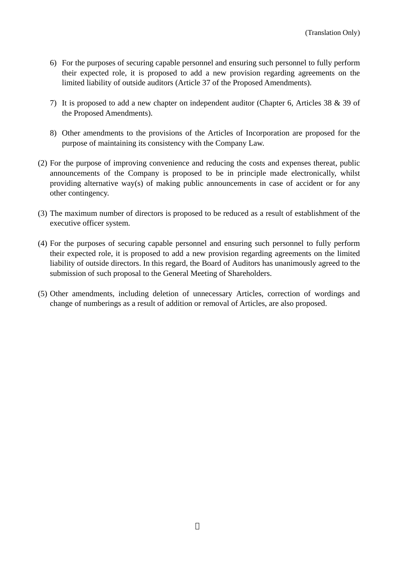- 6) For the purposes of securing capable personnel and ensuring such personnel to fully perform their expected role, it is proposed to add a new provision regarding agreements on the limited liability of outside auditors (Article 37 of the Proposed Amendments).
- 7) It is proposed to add a new chapter on independent auditor (Chapter 6, Articles 38 & 39 of the Proposed Amendments).
- 8) Other amendments to the provisions of the Articles of Incorporation are proposed for the purpose of maintaining its consistency with the Company Law.
- (2) For the purpose of improving convenience and reducing the costs and expenses thereat, public announcements of the Company is proposed to be in principle made electronically, whilst providing alternative way(s) of making public announcements in case of accident or for any other contingency.
- (3) The maximum number of directors is proposed to be reduced as a result of establishment of the executive officer system.
- (4) For the purposes of securing capable personnel and ensuring such personnel to fully perform their expected role, it is proposed to add a new provision regarding agreements on the limited liability of outside directors. In this regard, the Board of Auditors has unanimously agreed to the submission of such proposal to the General Meeting of Shareholders.
- (5) Other amendments, including deletion of unnecessary Articles, correction of wordings and change of numberings as a result of addition or removal of Articles, are also proposed.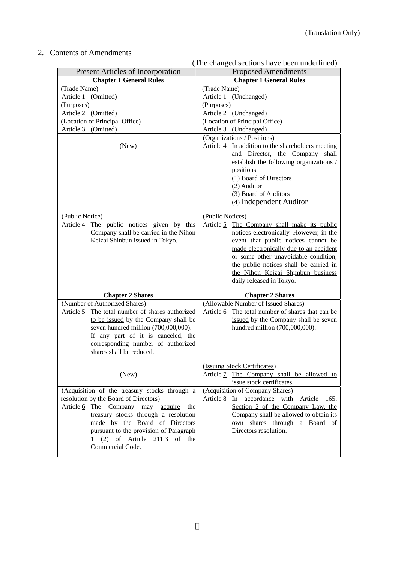# 2. Contents of Amendments

|                                                                                                                                                                                                                                                                                                          | (The changed sections have been underlined)                                                                                                                                                                                                                                                                                                    |
|----------------------------------------------------------------------------------------------------------------------------------------------------------------------------------------------------------------------------------------------------------------------------------------------------------|------------------------------------------------------------------------------------------------------------------------------------------------------------------------------------------------------------------------------------------------------------------------------------------------------------------------------------------------|
| <b>Present Articles of Incorporation</b>                                                                                                                                                                                                                                                                 | <b>Proposed Amendments</b>                                                                                                                                                                                                                                                                                                                     |
| <b>Chapter 1 General Rules</b>                                                                                                                                                                                                                                                                           | <b>Chapter 1 General Rules</b>                                                                                                                                                                                                                                                                                                                 |
| (Trade Name)                                                                                                                                                                                                                                                                                             | (Trade Name)                                                                                                                                                                                                                                                                                                                                   |
| Article 1 (Omitted)                                                                                                                                                                                                                                                                                      | Article 1 (Unchanged)                                                                                                                                                                                                                                                                                                                          |
| (Purposes)                                                                                                                                                                                                                                                                                               | (Purposes)                                                                                                                                                                                                                                                                                                                                     |
| Article 2 (Omitted)                                                                                                                                                                                                                                                                                      | Article 2 (Unchanged)                                                                                                                                                                                                                                                                                                                          |
| (Location of Principal Office)                                                                                                                                                                                                                                                                           | (Location of Principal Office)                                                                                                                                                                                                                                                                                                                 |
| Article 3 (Omitted)                                                                                                                                                                                                                                                                                      | Article 3 (Unchanged)                                                                                                                                                                                                                                                                                                                          |
|                                                                                                                                                                                                                                                                                                          | (Organizations / Positions)                                                                                                                                                                                                                                                                                                                    |
| (New)                                                                                                                                                                                                                                                                                                    | Article 4 In addition to the shareholders meeting<br>and Director, the Company shall<br>establish the following organizations /<br>positions.<br>(1) Board of Directors<br>(2) Auditor<br>(3) Board of Auditors<br>(4) Independent Auditor                                                                                                     |
| (Public Notice)<br>The public notices given by this<br>Article 4<br>Company shall be carried in the Nihon<br>Keizai Shinbun issued in Tokyo.                                                                                                                                                             | (Public Notices)<br>Article 5 The Company shall make its public<br>notices electronically. However, in the<br>event that public notices cannot be<br>made electronically due to an accident<br>or some other unavoidable condition,<br>the public notices shall be carried in<br>the Nihon Keizai Shimbun business<br>daily released in Tokyo. |
| <b>Chapter 2 Shares</b>                                                                                                                                                                                                                                                                                  | <b>Chapter 2 Shares</b>                                                                                                                                                                                                                                                                                                                        |
| (Number of Authorized Shares)                                                                                                                                                                                                                                                                            | (Allowable Number of Issued Shares)                                                                                                                                                                                                                                                                                                            |
| The total number of shares authorized<br>Article 5                                                                                                                                                                                                                                                       | Article 6 The total number of shares that can be                                                                                                                                                                                                                                                                                               |
| to be issued by the Company shall be                                                                                                                                                                                                                                                                     | issued by the Company shall be seven                                                                                                                                                                                                                                                                                                           |
| seven hundred million (700,000,000).<br>If any part of it is canceled, the<br>corresponding number of authorized<br>shares shall be reduced.                                                                                                                                                             | hundred million (700,000,000).                                                                                                                                                                                                                                                                                                                 |
| (New)                                                                                                                                                                                                                                                                                                    | (Issuing Stock Certificates)<br>Article 7 The Company shall be allowed to<br>issue stock certificates.                                                                                                                                                                                                                                         |
| (Acquisition of the treasury stocks through a<br>resolution by the Board of Directors)<br>Article 6 The Company may acquire the<br>treasury stocks through a resolution<br>made by the Board of Directors<br>pursuant to the provision of Paragraph<br>1 (2) of Article 211.3 of the<br>Commercial Code. | (Acquisition of Company Shares)<br>Article 8 In accordance with Article 165,<br>Section 2 of the Company Law, the<br>Company shall be allowed to obtain its<br>own shares through a Board of<br>Directors resolution.                                                                                                                          |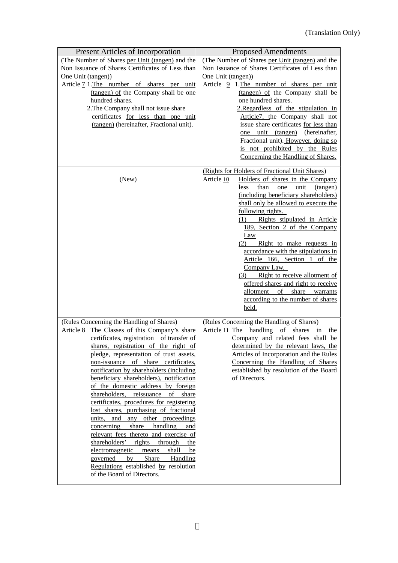| Present Articles of Incorporation                                                                                                                                                                                                                                                                                                                                                                                                                                                                                                                                                                                                                                                                                                                                                                                                                    | <b>Proposed Amendments</b>                                                                                                                                                                                                                                                                                                                                                                                                                                                                                                                                                                                                                               |
|------------------------------------------------------------------------------------------------------------------------------------------------------------------------------------------------------------------------------------------------------------------------------------------------------------------------------------------------------------------------------------------------------------------------------------------------------------------------------------------------------------------------------------------------------------------------------------------------------------------------------------------------------------------------------------------------------------------------------------------------------------------------------------------------------------------------------------------------------|----------------------------------------------------------------------------------------------------------------------------------------------------------------------------------------------------------------------------------------------------------------------------------------------------------------------------------------------------------------------------------------------------------------------------------------------------------------------------------------------------------------------------------------------------------------------------------------------------------------------------------------------------------|
| (The Number of Shares per Unit (tangen) and the<br>Non Issuance of Shares Certificates of Less than<br>One Unit (tangen))<br>Article 7 1. The number of shares per unit<br>(tangen) of the Company shall be one<br>hundred shares.<br>2. The Company shall not issue share<br>certificates for less than one unit<br>(tangen) (hereinafter, Fractional unit).                                                                                                                                                                                                                                                                                                                                                                                                                                                                                        | (The Number of Shares per Unit (tangen) and the<br>Non Issuance of Shares Certificates of Less than<br>One Unit (tangen))<br>Article 9 1. The number of shares per unit<br>(tangen) of the Company shall be<br>one hundred shares.<br>2.Regardless of the stipulation in<br>Article7, the Company shall not<br>issue share certificates for less than<br>one unit (tangen) (hereinafter,<br>Fractional unit). However, doing so<br>is not prohibited by the Rules                                                                                                                                                                                        |
| (New)                                                                                                                                                                                                                                                                                                                                                                                                                                                                                                                                                                                                                                                                                                                                                                                                                                                | Concerning the Handling of Shares.<br>(Rights for Holders of Fractional Unit Shares)<br>Article 10<br>Holders of shares in the Company<br>unit<br>than<br>one<br>(tangen)<br>less.<br>(including beneficiary shareholders)<br>shall only be allowed to execute the<br>following rights.<br>(1) Rights stipulated in Article<br>189, Section 2 of the Company<br>Law<br>Right to make requests in<br>(2)<br>accordance with the stipulations in<br>Article 166, Section 1 of the<br>Company Law.<br>(3) Right to receive allotment of<br>offered shares and right to receive<br>allotment of share warrants<br>according to the number of shares<br>held. |
| (Rules Concerning the Handling of Shares)<br>Article 8 The Classes of this Company's share<br>certificates, registration of transfer of<br>shares, registration of the right of<br>pledge, representation of trust assets,<br>non-issuance of share certificates,<br>notification by shareholders (including<br>beneficiary shareholders), notification<br>of the domestic address by foreign<br>shareholders, reissuance of<br>share<br>certificates, procedures for registering<br>lost shares, purchasing of fractional<br>and any other proceedings<br>units,<br>concerning<br>share<br>handling<br>and<br>relevant fees thereto and exercise of<br>shareholders' rights<br>through<br>the<br>electromagnetic<br>shall<br>means<br>be<br>governed<br>Share Handling<br>by<br>Regulations established by resolution<br>of the Board of Directors. | (Rules Concerning the Handling of Shares)<br>Article 11 The handling of shares in<br>the<br>Company and related fees shall be<br>determined by the relevant laws, the<br>Articles of Incorporation and the Rules<br>Concerning the Handling of Shares<br>established by resolution of the Board<br>of Directors.                                                                                                                                                                                                                                                                                                                                         |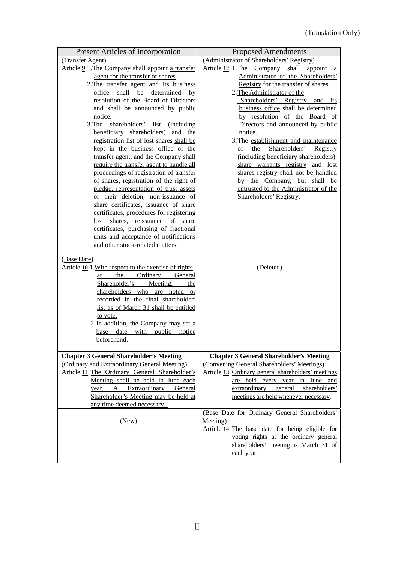| <b>Present Articles of Incorporation</b>                                        | <b>Proposed Amendments</b>                                                    |
|---------------------------------------------------------------------------------|-------------------------------------------------------------------------------|
| (Transfer Agent)                                                                | (Administrator of Shareholders' Registry)                                     |
| Article 9 1. The Company shall appoint a transfer                               | Article 12 1. The Company shall appoint<br><sub>a</sub>                       |
| agent for the transfer of shares.                                               | Administrator of the Shareholders'                                            |
| 2. The transfer agent and its business                                          | Registry for the transfer of shares.                                          |
| shall be determined<br>office<br>by                                             | 2. The Administrator of the                                                   |
| resolution of the Board of Directors                                            | Shareholders' Registry and its                                                |
| and shall be announced by public                                                | business office shall be determined                                           |
| notice.                                                                         | by resolution of the Board of                                                 |
| 3.The<br>shareholders' list (including                                          | Directors and announced by public                                             |
| beneficiary shareholders) and the                                               | notice.                                                                       |
| registration list of lost shares shall be                                       | 3. The establishment and maintenance                                          |
| kept in the business office of the                                              | Shareholders'<br>of<br>the<br>Registry                                        |
| transfer agent, and the Company shall                                           | (including beneficiary shareholders),                                         |
| require the transfer agent to handle all                                        | share warrants registry and lost                                              |
| proceedings of registration of transfer                                         | shares registry shall not be handled                                          |
| of shares, registration of the right of                                         | by the Company, but shall be                                                  |
| pledge, representation of trust assets                                          | entrusted to the Administrator of the                                         |
| or their deletion, non-issuance of                                              | Shareholders' Registry.                                                       |
| share certificates, issuance of share                                           |                                                                               |
| certificates, procedures for registering                                        |                                                                               |
| lost shares, reissuance of share                                                |                                                                               |
| certificates, purchasing of fractional<br>units and acceptance of notifications |                                                                               |
| and other stock-related matters.                                                |                                                                               |
|                                                                                 |                                                                               |
| (Base Date)                                                                     |                                                                               |
| Article 10 1. With respect to the exercise of rights                            | (Deleted)                                                                     |
| the Ordinary General<br>at                                                      |                                                                               |
| Shareholder's Meeting,<br>the                                                   |                                                                               |
| shareholders who are noted or                                                   |                                                                               |
| recorded in the final shareholder'                                              |                                                                               |
| list as of March 31 shall be entitled                                           |                                                                               |
| to vote.                                                                        |                                                                               |
|                                                                                 |                                                                               |
| 2. In addition, the Company may set a                                           |                                                                               |
| base date with public notice                                                    |                                                                               |
| beforehand.                                                                     |                                                                               |
|                                                                                 |                                                                               |
| <b>Chapter 3 General Shareholder's Meeting</b>                                  | <b>Chapter 3 General Shareholder's Meeting</b>                                |
| (Ordinary and Extraordinary General Meeting)                                    | (Convening General Shareholders' Meetings)                                    |
| Article 11 The Ordinary General Shareholder's                                   | Article 13 Ordinary general shareholders' meetings                            |
| Meeting shall be held in June each                                              | are held every year in June and                                               |
| year. A Extraordinary<br>General                                                | extraordinary general<br>shareholders'                                        |
| Shareholder's Meeting may be held at                                            | meetings are held whenever necessary.                                         |
| any time deemed necessary.                                                      |                                                                               |
|                                                                                 | (Base Date for Ordinary General Shareholders'                                 |
| (New)                                                                           | Meeting)                                                                      |
|                                                                                 | Article 14 The base date for being eligible for                               |
|                                                                                 | voting rights at the ordinary general<br>shareholders' meeting is March 31 of |
|                                                                                 | each year.                                                                    |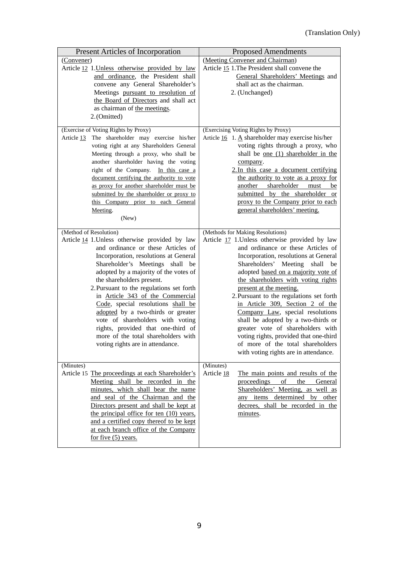| Present Articles of Incorporation                                        | <b>Proposed Amendments</b>                                           |
|--------------------------------------------------------------------------|----------------------------------------------------------------------|
| (Convener)                                                               | (Meeting Convener and Chairman)                                      |
| Article 12 1. Unless otherwise provided by law                           | Article 15 1. The President shall convene the                        |
| and ordinance, the President shall                                       | General Shareholders' Meetings and                                   |
| convene any General Shareholder's                                        | shall act as the chairman.                                           |
| Meetings pursuant to resolution of                                       | 2. (Unchanged)                                                       |
| the Board of Directors and shall act                                     |                                                                      |
| as chairman of the meetings.                                             |                                                                      |
| 2.(Omitted)                                                              |                                                                      |
| (Exercise of Voting Rights by Proxy)                                     | (Exercising Voting Rights by Proxy)                                  |
| The shareholder may exercise his/her<br>Article 13                       | Article $16 \quad 1.$ A shareholder may exercise his/her             |
| voting right at any Shareholders General                                 | voting rights through a proxy, who                                   |
| Meeting through a proxy, who shall be                                    | shall be <u>one</u> (1) shareholder in the                           |
| another shareholder having the voting                                    | company.                                                             |
| right of the Company. In this case a                                     | 2. In this case a document certifying                                |
| document certifying the authority to vote                                | the authority to vote as a proxy for                                 |
| as proxy for another shareholder must be                                 | shareholder<br>another<br>must<br>be                                 |
| submitted by the shareholder or proxy to                                 | submitted by the shareholder or                                      |
| this Company prior to each General                                       | proxy to the Company prior to each                                   |
| Meeting.                                                                 | general shareholders' meeting.                                       |
| (New)                                                                    |                                                                      |
| (Method of Resolution)                                                   | (Methods for Making Resolutions)                                     |
| Article 14 1. Unless otherwise provided by law                           | Article 17 1. Unless otherwise provided by law                       |
| and ordinance or these Articles of                                       | and ordinance or these Articles of                                   |
| Incorporation, resolutions at General                                    | Incorporation, resolutions at General                                |
| Shareholder's Meetings shall be                                          | Shareholders' Meeting shall be                                       |
| adopted by a majority of the votes of                                    | adopted based on a majority vote of                                  |
| the shareholders present.                                                | the shareholders with voting rights                                  |
| 2. Pursuant to the regulations set forth                                 | present at the meeting.                                              |
| in Article 343 of the Commercial                                         | 2. Pursuant to the regulations set forth                             |
| Code, special resolutions shall be<br>adopted by a two-thirds or greater | in Article 309, Section 2 of the<br>Company Law, special resolutions |
| vote of shareholders with voting                                         | shall be adopted by a two-thirds or                                  |
| rights, provided that one-third of                                       | greater vote of shareholders with                                    |
| more of the total shareholders with                                      | voting rights, provided that one-third                               |
| voting rights are in attendance.                                         | of more of the total shareholders                                    |
|                                                                          | with voting rights are in attendance.                                |
|                                                                          |                                                                      |
| (Minutes)                                                                | (Minutes)                                                            |
| Article 15 The proceedings at each Shareholder's                         | Article 18<br>The main points and results of the<br>of<br>the        |
| Meeting shall be recorded in the<br>minutes, which shall bear the name   | proceedings<br>General<br>Shareholders' Meeting, as well as          |
| and seal of the Chairman and the                                         | any items determined by other                                        |
| Directors present and shall be kept at                                   | decrees, shall be recorded in the                                    |
| the principal office for ten (10) years,                                 | minutes.                                                             |
| and a certified copy thereof to be kept                                  |                                                                      |
| at each branch office of the Company                                     |                                                                      |
| for five $(5)$ years.                                                    |                                                                      |
|                                                                          |                                                                      |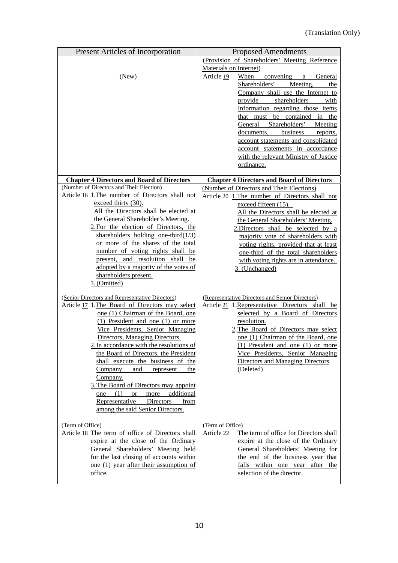| <b>Present Articles of Incorporation</b>                                  | <b>Proposed Amendments</b>                                                 |
|---------------------------------------------------------------------------|----------------------------------------------------------------------------|
|                                                                           | (Provision of Shareholders' Meeting Reference                              |
|                                                                           | Materials on Internet)                                                     |
| (New)                                                                     | Article 19<br>When<br>convening a<br>General                               |
|                                                                           | Shareholders' Meeting,<br>the                                              |
|                                                                           | Company shall use the Internet to                                          |
|                                                                           | shareholders<br>provide<br>with                                            |
|                                                                           | information regarding those items                                          |
|                                                                           | that must be contained in the                                              |
|                                                                           | General Shareholders' Meeting                                              |
|                                                                           | documents,<br>business<br>reports,                                         |
|                                                                           | account statements and consolidated                                        |
|                                                                           | account statements in accordance                                           |
|                                                                           | with the relevant Ministry of Justice                                      |
|                                                                           | ordinance.                                                                 |
| <b>Chapter 4 Directors and Board of Directors</b>                         | <b>Chapter 4 Directors and Board of Directors</b>                          |
| (Number of Directors and Their Election)                                  | (Number of Directors and Their Elections)                                  |
| Article 16 1. The number of Directors shall not                           | Article 20 1. The number of Directors shall not                            |
| exceed thirty (30).                                                       | exceed fifteen $(15)$ .                                                    |
| All the Directors shall be elected at                                     | All the Directors shall be elected at                                      |
| the General Shareholder's Meeting.                                        | the General Shareholders' Meeting.                                         |
| 2. For the election of Directors, the                                     | 2.Directors shall be selected by a                                         |
| shareholders holding one-third $(1/3)$                                    | majority vote of shareholders with                                         |
| or more of the shares of the total                                        | voting rights, provided that at least                                      |
| number of voting rights shall be                                          | one-third of the total shareholders                                        |
| present, and resolution shall be                                          | with voting rights are in attendance.                                      |
| adopted by a majority of the votes of<br>shareholders present.            | 3. (Unchanged)                                                             |
| 3. (Omitted)                                                              |                                                                            |
|                                                                           |                                                                            |
| (Senior Directors and Representative Directors)                           | (Representative Directors and Senior Directors)                            |
| Article 17 1. The Board of Directors may select                           | Article 21 1. Representative Directors shall be                            |
| one (1) Chairman of the Board, one                                        | selected by a Board of Directors                                           |
| $(1)$ President and one $(1)$ or more                                     | resolution.                                                                |
| Vice Presidents, Senior Managing<br>Directors, Managing Directors.        | 2. The Board of Directors may select<br>one (1) Chairman of the Board, one |
| 2. In accordance with the resolutions of                                  | (1) President and one (1) or more                                          |
| the Board of Directors, the President                                     | Vice Presidents, Senior Managing                                           |
| shall execute the business of the                                         | Directors and Managing Directors.                                          |
| Company<br>and<br>represent<br>the                                        | (Deleted)                                                                  |
| Company.                                                                  |                                                                            |
| 3. The Board of Directors may appoint                                     |                                                                            |
| additional<br>more<br>(1)<br>one<br><b>or</b>                             |                                                                            |
| Representative<br>Directors<br>from                                       |                                                                            |
| among the said Senior Directors.                                          |                                                                            |
|                                                                           |                                                                            |
| (Term of Office)                                                          | (Term of Office)                                                           |
| Article 18 The term of office of Directors shall                          | Article 22<br>The term of office for Directors shall                       |
| expire at the close of the Ordinary<br>General Shareholders' Meeting held | expire at the close of the Ordinary<br>General Shareholders' Meeting for   |
| for the last closing of accounts within                                   | the end of the business year that                                          |
| one (1) year after their assumption of                                    | falls within one year after the                                            |
| office.                                                                   | selection of the director.                                                 |
|                                                                           |                                                                            |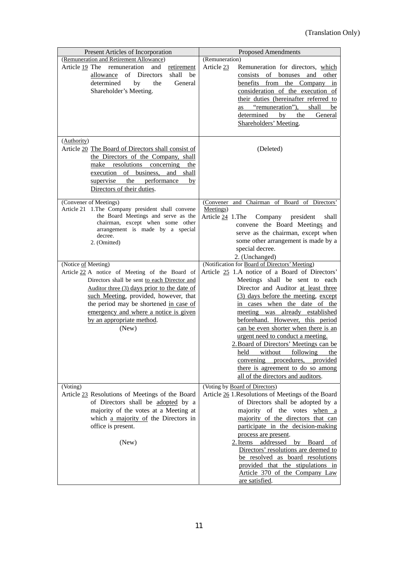| Present Articles of Incorporation                                                                                                                                                                                                                                                                                                      | <b>Proposed Amendments</b>                                                                                                                                                                                                                                                                                                                                                                                                                                                                                                                                                                          |
|----------------------------------------------------------------------------------------------------------------------------------------------------------------------------------------------------------------------------------------------------------------------------------------------------------------------------------------|-----------------------------------------------------------------------------------------------------------------------------------------------------------------------------------------------------------------------------------------------------------------------------------------------------------------------------------------------------------------------------------------------------------------------------------------------------------------------------------------------------------------------------------------------------------------------------------------------------|
| (Remuneration and Retirement Allowance)<br>Article 19 The remuneration<br>and<br>retirement<br>allowance of Directors<br>shall<br>be<br>determined<br>the<br>General<br>by<br>Shareholder's Meeting.                                                                                                                                   | (Remuneration)<br>Article 23<br>Remuneration for directors, which<br>consists of bonuses and other<br>benefits from the Company<br>in<br>consideration of the execution of<br>their duties (hereinafter referred to<br>as "remuneration"),<br>shall<br>be<br>determined<br>by<br>the<br>General<br>Shareholders' Meeting.                                                                                                                                                                                                                                                                           |
| (Authority)<br>Article 20 The Board of Directors shall consist of<br>the Directors of the Company, shall<br>make resolutions concerning<br>the<br>execution of business, and shall<br>supervise the performance<br>by<br>Directors of their duties.                                                                                    | (Deleted)                                                                                                                                                                                                                                                                                                                                                                                                                                                                                                                                                                                           |
| (Convener of Meetings)<br>Article 21 1. The Company president shall convene<br>the Board Meetings and serve as the<br>chairman, except when some other<br>arrangement is made by a special<br>decree.<br>2. (Omitted)                                                                                                                  | (Convener and Chairman of Board of Directors'<br>Meetings)<br>Article 24 1. The<br>Company<br>president<br>shall<br>convene the Board Meetings and<br>serve as the chairman, except when<br>some other arrangement is made by a<br>special decree.<br>2. (Unchanged)                                                                                                                                                                                                                                                                                                                                |
| (Notice of Meeting)<br>Article 22 A notice of Meeting of the Board of<br>Directors shall be sent to each Director and<br>Auditor three (3) days prior to the date of<br>such Meeting, provided, however, that<br>the period may be shortened in case of<br>emergency and where a notice is given<br>by an appropriate method.<br>(New) | (Notification for Board of Directors' Meeting)<br>Article 25 1.A notice of a Board of Directors'<br>Meetings shall be sent to each<br>Director and Auditor at least three<br>(3) days before the meeting, except<br>in cases when the date of the<br>meeting was already established<br>beforehand. However, this period<br>can be even shorter when there is an<br>urgent need to conduct a meeting.<br>2. Board of Directors' Meetings can be<br>following<br>held<br>without<br>the<br>convening procedures, provided<br>there is agreement to do so among<br>all of the directors and auditors. |
| (Voting)<br>Article 23 Resolutions of Meetings of the Board<br>of Directors shall be adopted by a<br>majority of the votes at a Meeting at<br>which a majority of the Directors in<br>office is present.<br>(New)                                                                                                                      | (Voting by Board of Directors)<br>Article 26 1. Resolutions of Meetings of the Board<br>of Directors shall be adopted by a<br>majority of the votes when a<br>majority of the directors that can<br>participate in the decision-making<br>process are present.<br>2. Items<br>addressed by Board of<br>Directors' resolutions are deemed to<br>be resolved as board resolutions<br>provided that the stipulations in<br>Article 370 of the Company Law<br>are satisfied.                                                                                                                            |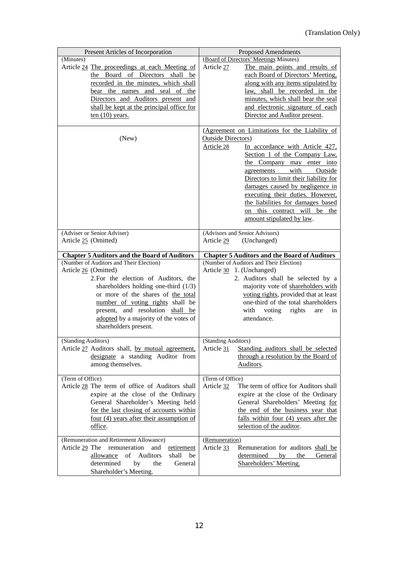| Present Articles of Incorporation                                                                                                                                                                                                                                                                                                                                                        | <b>Proposed Amendments</b>                                                                                                                                                                                                                                                                                                                                                                                                                                                         |
|------------------------------------------------------------------------------------------------------------------------------------------------------------------------------------------------------------------------------------------------------------------------------------------------------------------------------------------------------------------------------------------|------------------------------------------------------------------------------------------------------------------------------------------------------------------------------------------------------------------------------------------------------------------------------------------------------------------------------------------------------------------------------------------------------------------------------------------------------------------------------------|
| (Minutes)<br>Article 24 The proceedings at each Meeting of<br>the Board of Directors shall be<br>recorded in the minutes, which shall<br>bear the names and seal of the<br>Directors and Auditors present and<br>shall be kept at the principal office for<br>ten $(10)$ years.                                                                                                          | (Board of Directors' Meetings Minutes)<br>Article 27<br>The main points and results of<br>each Board of Directors' Meeting,<br>along with any items stipulated by<br>law, shall be recorded in the<br>minutes, which shall bear the seal<br>and electronic signature of each<br>Director and Auditor present.                                                                                                                                                                      |
| (New)<br>(Adviser or Senior Adviser)                                                                                                                                                                                                                                                                                                                                                     | (Agreement on Limitations for the Liability of<br><b>Outside Directors</b> )<br>Article 28<br>In accordance with Article 427,<br>Section 1 of the Company Law,<br>the Company may enter into<br>with<br>agreements<br>Outside<br>Directors to limit their liability for<br>damages caused by negligence in<br>executing their duties. However,<br>the liabilities for damages based<br>on this contract will be the<br>amount stipulated by law.<br>(Advisors and Senior Advisors) |
| Article 25 (Omitted)                                                                                                                                                                                                                                                                                                                                                                     | Article 29<br>(Unchanged)                                                                                                                                                                                                                                                                                                                                                                                                                                                          |
| <b>Chapter 5 Auditors and the Board of Auditors</b><br>(Number of Auditors and Their Election)<br>Article 26 (Omitted)<br>2. For the election of Auditors, the<br>shareholders holding one-third $(1/3)$<br>or more of the shares of the total<br>number of voting rights shall be<br>present, and resolution shall be<br>adopted by a majority of the votes of<br>shareholders present. | <b>Chapter 5 Auditors and the Board of Auditors</b><br>(Number of Auditors and Their Election)<br>Article 30 1. (Unchanged)<br>2. Auditors shall be selected by a<br>majority vote of shareholders with<br>voting rights, provided that at least<br>one-third of the total shareholders<br>with<br>voting<br>rights<br>in<br>are<br>attendance.                                                                                                                                    |
| (Standing Auditors)<br>Article 27 Auditors shall, by mutual agreement,<br>designate a standing Auditor from<br>among themselves.                                                                                                                                                                                                                                                         | (Standing Auditors)<br>Standing auditors shall be selected<br>Article 31<br>through a resolution by the Board of<br>Auditors.                                                                                                                                                                                                                                                                                                                                                      |
| (Term of Office)<br>Article 28 The term of office of Auditors shall<br>expire at the close of the Ordinary<br>General Shareholder's Meeting held<br>for the last closing of accounts within<br>four $(4)$ years after their assumption of<br>office.                                                                                                                                     | (Term of Office)<br>Article 32<br>The term of office for Auditors shall<br>expire at the close of the Ordinary<br>General Shareholders' Meeting for<br>the end of the business year that<br>falls within four (4) years after the<br>selection of the auditor.                                                                                                                                                                                                                     |
| (Remuneration and Retirement Allowance)<br>Article 29 The remuneration<br>and<br>retirement<br>allowance<br>of<br>Auditors<br>shall<br>be<br>determined<br>General<br>by<br>the<br>Shareholder's Meeting.                                                                                                                                                                                | (Remuneration)<br>Article 33<br>Remuneration for auditors shall be<br>determined<br>by<br>the<br>General<br>Shareholders' Meeting.                                                                                                                                                                                                                                                                                                                                                 |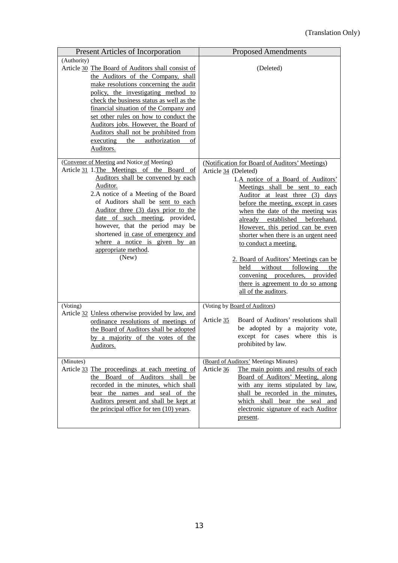| Present Articles of Incorporation                                                                                                                                                                                                                                                                                                                                                                                                                                                                                                                                                                                                                                                                                                                                                                                                                                                                              | <b>Proposed Amendments</b>                                                                                                                                                                                                                                                                                                                                                                                                                                                                                                                                                                    |
|----------------------------------------------------------------------------------------------------------------------------------------------------------------------------------------------------------------------------------------------------------------------------------------------------------------------------------------------------------------------------------------------------------------------------------------------------------------------------------------------------------------------------------------------------------------------------------------------------------------------------------------------------------------------------------------------------------------------------------------------------------------------------------------------------------------------------------------------------------------------------------------------------------------|-----------------------------------------------------------------------------------------------------------------------------------------------------------------------------------------------------------------------------------------------------------------------------------------------------------------------------------------------------------------------------------------------------------------------------------------------------------------------------------------------------------------------------------------------------------------------------------------------|
| (Authority)<br>Article 30 The Board of Auditors shall consist of<br>the Auditors of the Company, shall<br>make resolutions concerning the audit<br>policy, the investigating method to<br>check the business status as well as the<br>financial situation of the Company and<br>set other rules on how to conduct the<br>Auditors jobs. However, the Board of<br>Auditors shall not be prohibited from<br>executing<br>authorization<br>the<br>οf<br>Auditors.<br>(Convener of Meeting and Notice of Meeting)<br>Article 31 1. The Meetings of the Board of<br>Auditors shall be convened by each<br>Auditor.<br>2.A notice of a Meeting of the Board<br>of Auditors shall be sent to each<br>Auditor three (3) days prior to the<br>date of such meeting, provided,<br>however, that the period may be<br>shortened in case of emergency and<br>where a notice is given by an<br>appropriate method.<br>(New) | (Deleted)<br>(Notification for Board of Auditors' Meetings)<br>Article 34 (Deleted)<br>1.A notice of a Board of Auditors'<br>Meetings shall be sent to each<br>Auditor at least three (3) days<br>before the meeting, except in cases<br>when the date of the meeting was<br>already established beforehand.<br>However, this period can be even<br>shorter when there is an urgent need<br>to conduct a meeting.<br>2. Board of Auditors' Meetings can be<br>without following<br>held<br>the<br>convening procedures, provided<br>there is agreement to do so among<br>all of the auditors. |
| (Voting)<br>Article 32 Unless otherwise provided by law, and<br>ordinance resolutions of meetings of<br>the Board of Auditors shall be adopted<br>by a majority of the votes of the<br>Auditors.                                                                                                                                                                                                                                                                                                                                                                                                                                                                                                                                                                                                                                                                                                               | (Voting by Board of Auditors)<br>Board of Auditors' resolutions shall<br>Article 35<br>be adopted by a majority vote,<br>except for cases where this is<br>prohibited by law.<br>(Board of Auditors' Meetings Minutes)                                                                                                                                                                                                                                                                                                                                                                        |
| (Minutes)<br>Article 33 The proceedings at each meeting of<br>the Board of Auditors shall be<br>recorded in the minutes, which shall<br>bear the names and seal of the<br>Auditors present and shall be kept at<br>the principal office for ten (10) years.                                                                                                                                                                                                                                                                                                                                                                                                                                                                                                                                                                                                                                                    | The main points and results of each<br>Article 36<br>Board of Auditors' Meeting, along<br>with any items stipulated by law,<br>shall be recorded in the minutes,<br>which shall bear the seal and<br>electronic signature of each Auditor<br>present.                                                                                                                                                                                                                                                                                                                                         |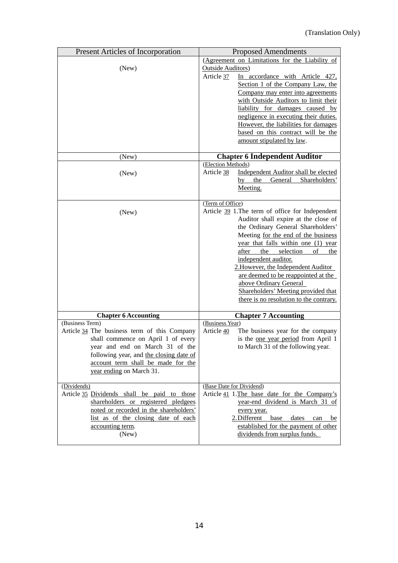| <b>Present Articles of Incorporation</b><br><b>Proposed Amendments</b><br>(Agreement on Limitations for the Liability of<br>(New)<br><b>Outside Auditors</b> )<br>Article 37<br>In accordance with Article 427,<br>Section 1 of the Company Law, the<br>Company may enter into agreements<br>with Outside Auditors to limit their<br>liability for damages caused by<br>negligence in executing their duties.<br>However, the liabilities for damages<br>based on this contract will be the<br>amount stipulated by law.<br><b>Chapter 6 Independent Auditor</b><br>(New)<br>(Election Methods)<br>Independent Auditor shall be elected<br>Article 38<br>(New)<br>$by$ the<br>General Shareholders'<br>Meeting. |
|-----------------------------------------------------------------------------------------------------------------------------------------------------------------------------------------------------------------------------------------------------------------------------------------------------------------------------------------------------------------------------------------------------------------------------------------------------------------------------------------------------------------------------------------------------------------------------------------------------------------------------------------------------------------------------------------------------------------|
|                                                                                                                                                                                                                                                                                                                                                                                                                                                                                                                                                                                                                                                                                                                 |
|                                                                                                                                                                                                                                                                                                                                                                                                                                                                                                                                                                                                                                                                                                                 |
|                                                                                                                                                                                                                                                                                                                                                                                                                                                                                                                                                                                                                                                                                                                 |
|                                                                                                                                                                                                                                                                                                                                                                                                                                                                                                                                                                                                                                                                                                                 |
|                                                                                                                                                                                                                                                                                                                                                                                                                                                                                                                                                                                                                                                                                                                 |
|                                                                                                                                                                                                                                                                                                                                                                                                                                                                                                                                                                                                                                                                                                                 |
|                                                                                                                                                                                                                                                                                                                                                                                                                                                                                                                                                                                                                                                                                                                 |
|                                                                                                                                                                                                                                                                                                                                                                                                                                                                                                                                                                                                                                                                                                                 |
|                                                                                                                                                                                                                                                                                                                                                                                                                                                                                                                                                                                                                                                                                                                 |
|                                                                                                                                                                                                                                                                                                                                                                                                                                                                                                                                                                                                                                                                                                                 |
|                                                                                                                                                                                                                                                                                                                                                                                                                                                                                                                                                                                                                                                                                                                 |
|                                                                                                                                                                                                                                                                                                                                                                                                                                                                                                                                                                                                                                                                                                                 |
|                                                                                                                                                                                                                                                                                                                                                                                                                                                                                                                                                                                                                                                                                                                 |
|                                                                                                                                                                                                                                                                                                                                                                                                                                                                                                                                                                                                                                                                                                                 |
|                                                                                                                                                                                                                                                                                                                                                                                                                                                                                                                                                                                                                                                                                                                 |
|                                                                                                                                                                                                                                                                                                                                                                                                                                                                                                                                                                                                                                                                                                                 |
| (Term of Office)                                                                                                                                                                                                                                                                                                                                                                                                                                                                                                                                                                                                                                                                                                |
| Article 39 1. The term of office for Independent<br>(New)                                                                                                                                                                                                                                                                                                                                                                                                                                                                                                                                                                                                                                                       |
| Auditor shall expire at the close of                                                                                                                                                                                                                                                                                                                                                                                                                                                                                                                                                                                                                                                                            |
| the Ordinary General Shareholders'                                                                                                                                                                                                                                                                                                                                                                                                                                                                                                                                                                                                                                                                              |
| Meeting for the end of the business                                                                                                                                                                                                                                                                                                                                                                                                                                                                                                                                                                                                                                                                             |
| year that falls within one (1) year                                                                                                                                                                                                                                                                                                                                                                                                                                                                                                                                                                                                                                                                             |
| after the selection<br>of<br>the                                                                                                                                                                                                                                                                                                                                                                                                                                                                                                                                                                                                                                                                                |
| independent auditor.                                                                                                                                                                                                                                                                                                                                                                                                                                                                                                                                                                                                                                                                                            |
| 2. However, the Independent Auditor                                                                                                                                                                                                                                                                                                                                                                                                                                                                                                                                                                                                                                                                             |
| are deemed to be reappointed at the                                                                                                                                                                                                                                                                                                                                                                                                                                                                                                                                                                                                                                                                             |
| above Ordinary General                                                                                                                                                                                                                                                                                                                                                                                                                                                                                                                                                                                                                                                                                          |
| Shareholders' Meeting provided that                                                                                                                                                                                                                                                                                                                                                                                                                                                                                                                                                                                                                                                                             |
| there is no resolution to the contrary.                                                                                                                                                                                                                                                                                                                                                                                                                                                                                                                                                                                                                                                                         |
| <b>Chapter 7 Accounting</b><br><b>Chapter 6 Accounting</b>                                                                                                                                                                                                                                                                                                                                                                                                                                                                                                                                                                                                                                                      |
| (Business Term)<br>(Business Year)                                                                                                                                                                                                                                                                                                                                                                                                                                                                                                                                                                                                                                                                              |
| Article 34 The business term of this Company<br>Article 40<br>The business year for the company                                                                                                                                                                                                                                                                                                                                                                                                                                                                                                                                                                                                                 |
| shall commence on April 1 of every<br>is the <u>one year period</u> from April 1                                                                                                                                                                                                                                                                                                                                                                                                                                                                                                                                                                                                                                |
| to March 31 of the following year.<br>year and end on March 31 of the                                                                                                                                                                                                                                                                                                                                                                                                                                                                                                                                                                                                                                           |
| following year, and the closing date of                                                                                                                                                                                                                                                                                                                                                                                                                                                                                                                                                                                                                                                                         |
| account term shall be made for the                                                                                                                                                                                                                                                                                                                                                                                                                                                                                                                                                                                                                                                                              |
| year ending on March 31.                                                                                                                                                                                                                                                                                                                                                                                                                                                                                                                                                                                                                                                                                        |
| (Dividends)<br>(Base Date for Dividend)                                                                                                                                                                                                                                                                                                                                                                                                                                                                                                                                                                                                                                                                         |
| Article 35 Dividends shall be paid to those<br>Article 41 1. The base date for the Company's                                                                                                                                                                                                                                                                                                                                                                                                                                                                                                                                                                                                                    |
| shareholders or registered pledgees<br>year-end dividend is March 31 of                                                                                                                                                                                                                                                                                                                                                                                                                                                                                                                                                                                                                                         |
| noted or recorded in the shareholders'<br>every year.                                                                                                                                                                                                                                                                                                                                                                                                                                                                                                                                                                                                                                                           |
| list as of the closing date of each<br>2. Different<br>base<br>dates<br>can<br>be                                                                                                                                                                                                                                                                                                                                                                                                                                                                                                                                                                                                                               |
| accounting term.<br>established for the payment of other                                                                                                                                                                                                                                                                                                                                                                                                                                                                                                                                                                                                                                                        |
| dividends from surplus funds.<br>(New)                                                                                                                                                                                                                                                                                                                                                                                                                                                                                                                                                                                                                                                                          |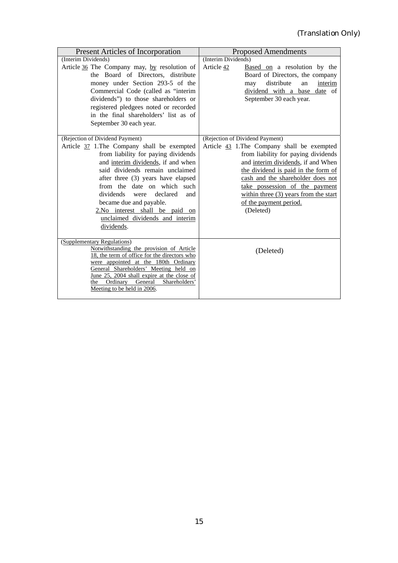| <b>Present Articles of Incorporation</b>                                                                                                                                                                                                                                                                                                                                                                                  | <b>Proposed Amendments</b>                                                                                                                                                                                                                                                                                                                                  |
|---------------------------------------------------------------------------------------------------------------------------------------------------------------------------------------------------------------------------------------------------------------------------------------------------------------------------------------------------------------------------------------------------------------------------|-------------------------------------------------------------------------------------------------------------------------------------------------------------------------------------------------------------------------------------------------------------------------------------------------------------------------------------------------------------|
| (Interim Dividends)                                                                                                                                                                                                                                                                                                                                                                                                       | (Interim Dividends)                                                                                                                                                                                                                                                                                                                                         |
| Article 36 The Company may, by resolution of<br>the Board of Directors, distribute<br>money under Section 293-5 of the<br>Commercial Code (called as "interim<br>dividends") to those shareholders or<br>registered pledgees noted or recorded<br>in the final shareholders' list as of<br>September 30 each year.                                                                                                        | Article 42<br>Based on a resolution by the<br>Board of Directors, the company<br>distribute<br>interim<br>an<br>may<br>dividend with a base date of<br>September 30 each year.                                                                                                                                                                              |
| (Rejection of Dividend Payment)<br>Article 37 1. The Company shall be exempted<br>from liability for paying dividends<br>and interim dividends, if and when<br>said dividends remain unclaimed<br>after three (3) years have elapsed<br>from the date on which such<br>dividends<br>declared<br>were<br>and<br>became due and payable.<br>2.No interest shall be paid on<br>unclaimed dividends and interim<br>dividends. | (Rejection of Dividend Payment)<br>Article 43 1. The Company shall be exempted<br>from liability for paying dividends<br>and interim dividends, if and When<br>the dividend is paid in the form of<br>cash and the shareholder does not<br>take possession of the payment<br>within three $(3)$ years from the start<br>of the payment period.<br>(Deleted) |
| (Supplementary Regulations)<br>Notwithstanding the provision of Article<br>18, the term of office for the directors who<br>were appointed at the 180th Ordinary<br>General Shareholders' Meeting held on<br>June 25, 2004 shall expire at the close of<br>Shareholders'<br>Ordinary<br>General<br>the<br>Meeting to be held in 2006.                                                                                      | (Deleted)                                                                                                                                                                                                                                                                                                                                                   |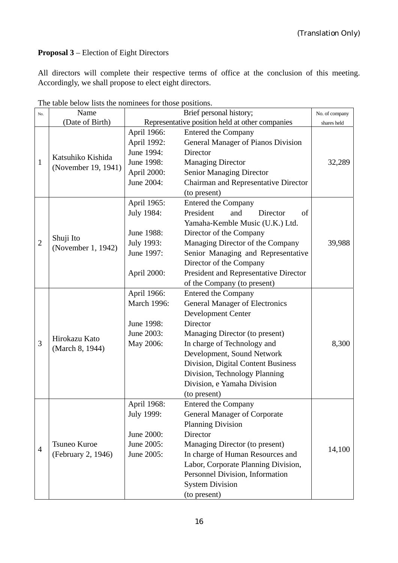# **Proposal 3** – Election of Eight Directors

All directors will complete their respective terms of office at the conclusion of this meeting. Accordingly, we shall propose to elect eight directors.

| No.            | Name                                     |             | Brief personal history;                         | No. of company |
|----------------|------------------------------------------|-------------|-------------------------------------------------|----------------|
|                | (Date of Birth)                          |             | Representative position held at other companies | shares held    |
| $\mathbf{1}$   |                                          | April 1966: | <b>Entered the Company</b>                      |                |
|                | Katsuhiko Kishida<br>(November 19, 1941) | April 1992: | General Manager of Pianos Division              |                |
|                |                                          | June 1994:  | Director                                        |                |
|                |                                          | June 1998:  | <b>Managing Director</b>                        | 32,289         |
|                |                                          | April 2000: | <b>Senior Managing Director</b>                 |                |
|                |                                          | June 2004:  | Chairman and Representative Director            |                |
|                |                                          |             | (to present)                                    |                |
|                |                                          | April 1965: | <b>Entered the Company</b>                      |                |
|                |                                          | July 1984:  | President<br>of<br>and<br>Director              |                |
|                |                                          |             | Yamaha-Kemble Music (U.K.) Ltd.                 |                |
|                | Shuji Ito                                | June 1988:  | Director of the Company                         |                |
| $\overline{2}$ | (November 1, 1942)                       | July 1993:  | Managing Director of the Company                | 39,988         |
|                |                                          | June 1997:  | Senior Managing and Representative              |                |
|                |                                          |             | Director of the Company                         |                |
|                |                                          | April 2000: | President and Representative Director           |                |
|                |                                          |             | of the Company (to present)                     |                |
|                |                                          | April 1966: | <b>Entered the Company</b>                      |                |
|                | Hirokazu Kato                            | March 1996: | <b>General Manager of Electronics</b>           |                |
|                |                                          |             | <b>Development Center</b>                       |                |
|                |                                          | June 1998:  | Director                                        |                |
|                |                                          | June 2003:  | Managing Director (to present)                  |                |
| 3              | (March 8, 1944)                          | May 2006:   | In charge of Technology and                     | 8,300          |
|                |                                          |             | Development, Sound Network                      |                |
|                |                                          |             | Division, Digital Content Business              |                |
|                |                                          |             | Division, Technology Planning                   |                |
|                |                                          |             | Division, e Yamaha Division                     |                |
|                |                                          |             | (to present)                                    |                |
|                |                                          | April 1968: | <b>Entered the Company</b>                      |                |
|                |                                          | July 1999:  | <b>General Manager of Corporate</b>             |                |
| $\overline{4}$ |                                          |             | <b>Planning Division</b>                        |                |
|                |                                          | June 2000:  | Director                                        |                |
|                | Tsuneo Kuroe                             | June 2005:  | Managing Director (to present)                  | 14,100         |
|                | (February 2, 1946)                       | June 2005:  | In charge of Human Resources and                |                |
|                |                                          |             | Labor, Corporate Planning Division,             |                |
|                |                                          |             | Personnel Division, Information                 |                |
|                |                                          |             | <b>System Division</b>                          |                |
|                |                                          |             | (to present)                                    |                |

The table below lists the nominees for those positions.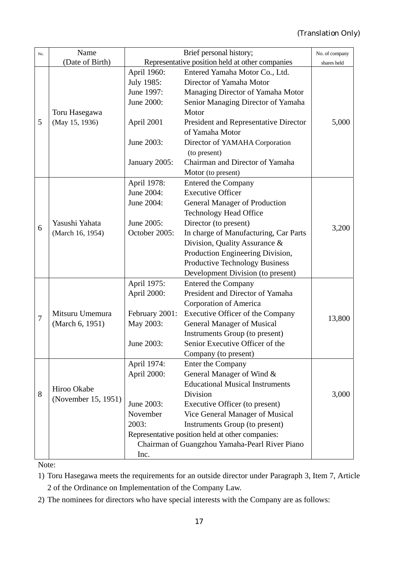| No.    | Name                               | Brief personal history;                          |                                        | No. of company |
|--------|------------------------------------|--------------------------------------------------|----------------------------------------|----------------|
|        | (Date of Birth)                    | Representative position held at other companies  |                                        | shares held    |
|        |                                    | April 1960:                                      | Entered Yamaha Motor Co., Ltd.         |                |
|        |                                    | July 1985:                                       | Director of Yamaha Motor               |                |
|        |                                    | June 1997:                                       | Managing Director of Yamaha Motor      |                |
|        |                                    | June 2000:                                       | Senior Managing Director of Yamaha     |                |
|        | Toru Hasegawa                      |                                                  | Motor                                  |                |
| 5      | (May 15, 1936)                     | April 2001                                       | President and Representative Director  | 5,000          |
|        |                                    |                                                  | of Yamaha Motor                        |                |
|        |                                    | June 2003:                                       | Director of YAMAHA Corporation         |                |
|        |                                    |                                                  | (to present)                           |                |
|        |                                    | January 2005:                                    | Chairman and Director of Yamaha        |                |
|        |                                    |                                                  | Motor (to present)                     |                |
|        |                                    | April 1978:                                      | <b>Entered the Company</b>             |                |
|        |                                    | June 2004:                                       | <b>Executive Officer</b>               |                |
|        |                                    | June 2004:                                       | <b>General Manager of Production</b>   |                |
|        |                                    |                                                  | <b>Technology Head Office</b>          |                |
| 6      | Yasushi Yahata                     | June 2005:                                       | Director (to present)                  | 3,200          |
|        | (March 16, 1954)                   | October 2005:                                    | In charge of Manufacturing, Car Parts  |                |
|        |                                    |                                                  | Division, Quality Assurance &          |                |
|        |                                    |                                                  | Production Engineering Division,       |                |
|        |                                    |                                                  | <b>Productive Technology Business</b>  |                |
|        |                                    |                                                  | Development Division (to present)      |                |
|        |                                    | April 1975:                                      | <b>Entered the Company</b>             |                |
|        |                                    | April 2000:                                      | President and Director of Yamaha       |                |
|        |                                    |                                                  | Corporation of America                 |                |
| $\tau$ | Mitsuru Umemura                    | February 2001:                                   | Executive Officer of the Company       | 13,800         |
|        | (March 6, 1951)                    | May 2003:                                        | <b>General Manager of Musical</b>      |                |
|        |                                    |                                                  | Instruments Group (to present)         |                |
|        |                                    | June 2003:                                       | Senior Executive Officer of the        |                |
|        |                                    |                                                  | Company (to present)                   |                |
|        |                                    | April 1974:                                      | Enter the Company                      |                |
|        |                                    | April 2000:                                      | General Manager of Wind &              |                |
|        | Hiroo Okabe<br>(November 15, 1951) |                                                  | <b>Educational Musical Instruments</b> |                |
| 8      |                                    |                                                  | Division                               | 3,000          |
|        |                                    | June 2003:                                       | Executive Officer (to present)         |                |
|        |                                    | November                                         | Vice General Manager of Musical        |                |
|        |                                    | 2003:                                            | Instruments Group (to present)         |                |
|        |                                    | Representative position held at other companies: |                                        |                |
|        |                                    | Chairman of Guangzhou Yamaha-Pearl River Piano   |                                        |                |
|        |                                    | Inc.                                             |                                        |                |

Note:

1) Toru Hasegawa meets the requirements for an outside director under Paragraph 3, Item 7, Article 2 of the Ordinance on Implementation of the Company Law.

2) The nominees for directors who have special interests with the Company are as follows: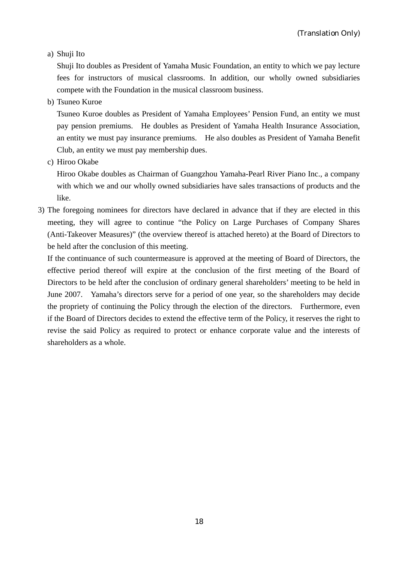a) Shuji Ito

Shuji Ito doubles as President of Yamaha Music Foundation, an entity to which we pay lecture fees for instructors of musical classrooms. In addition, our wholly owned subsidiaries compete with the Foundation in the musical classroom business.

b) Tsuneo Kuroe

Tsuneo Kuroe doubles as President of Yamaha Employees' Pension Fund, an entity we must pay pension premiums. He doubles as President of Yamaha Health Insurance Association, an entity we must pay insurance premiums. He also doubles as President of Yamaha Benefit Club, an entity we must pay membership dues.

c) Hiroo Okabe

Hiroo Okabe doubles as Chairman of Guangzhou Yamaha-Pearl River Piano Inc., a company with which we and our wholly owned subsidiaries have sales transactions of products and the like.

3) The foregoing nominees for directors have declared in advance that if they are elected in this meeting, they will agree to continue "the Policy on Large Purchases of Company Shares (Anti-Takeover Measures)" (the overview thereof is attached hereto) at the Board of Directors to be held after the conclusion of this meeting.

If the continuance of such countermeasure is approved at the meeting of Board of Directors, the effective period thereof will expire at the conclusion of the first meeting of the Board of Directors to be held after the conclusion of ordinary general shareholders' meeting to be held in June 2007. Yamaha's directors serve for a period of one year, so the shareholders may decide the propriety of continuing the Policy through the election of the directors. Furthermore, even if the Board of Directors decides to extend the effective term of the Policy, it reserves the right to revise the said Policy as required to protect or enhance corporate value and the interests of shareholders as a whole.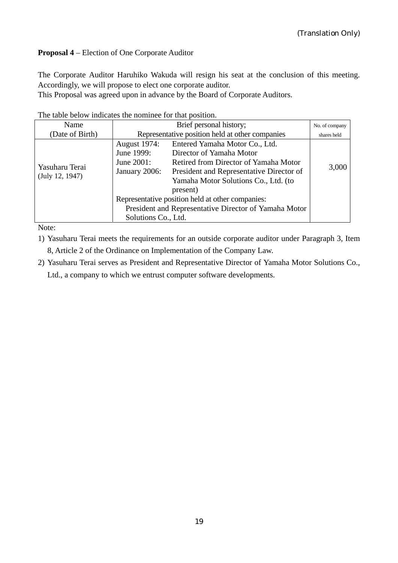# **Proposal 4** – Election of One Corporate Auditor

The Corporate Auditor Haruhiko Wakuda will resign his seat at the conclusion of this meeting. Accordingly, we will propose to elect one corporate auditor.

This Proposal was agreed upon in advance by the Board of Corporate Auditors.

| Name            |                                                       | No. of company                           |       |
|-----------------|-------------------------------------------------------|------------------------------------------|-------|
| (Date of Birth) | Representative position held at other companies       | shares held                              |       |
|                 | <b>August 1974:</b>                                   | Entered Yamaha Motor Co., Ltd.           |       |
|                 | June 1999:                                            | Director of Yamaha Motor                 |       |
|                 | June 2001:                                            | Retired from Director of Yamaha Motor    | 3,000 |
| Yasuharu Terai  | January 2006:                                         | President and Representative Director of |       |
| (July 12, 1947) |                                                       | Yamaha Motor Solutions Co., Ltd. (to     |       |
|                 |                                                       | present)                                 |       |
|                 | Representative position held at other companies:      |                                          |       |
|                 | President and Representative Director of Yamaha Motor |                                          |       |
|                 | Solutions Co., Ltd.                                   |                                          |       |

Note:

- 1) Yasuharu Terai meets the requirements for an outside corporate auditor under Paragraph 3, Item 8, Article 2 of the Ordinance on Implementation of the Company Law.
- 2) Yasuharu Terai serves as President and Representative Director of Yamaha Motor Solutions Co., Ltd., a company to which we entrust computer software developments.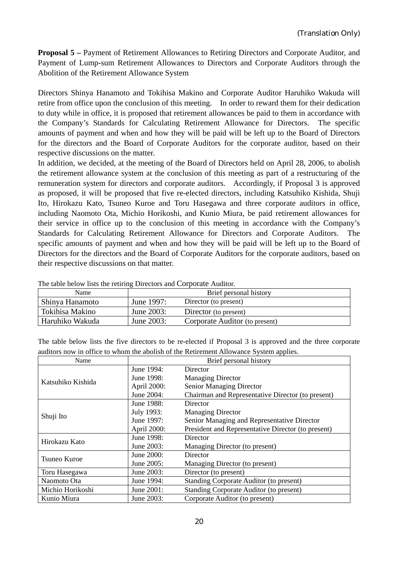**Proposal 5 –** Payment of Retirement Allowances to Retiring Directors and Corporate Auditor, and Payment of Lump-sum Retirement Allowances to Directors and Corporate Auditors through the Abolition of the Retirement Allowance System

Directors Shinya Hanamoto and Tokihisa Makino and Corporate Auditor Haruhiko Wakuda will retire from office upon the conclusion of this meeting. In order to reward them for their dedication to duty while in office, it is proposed that retirement allowances be paid to them in accordance with the Company's Standards for Calculating Retirement Allowance for Directors. The specific amounts of payment and when and how they will be paid will be left up to the Board of Directors for the directors and the Board of Corporate Auditors for the corporate auditor, based on their respective discussions on the matter.

In addition, we decided, at the meeting of the Board of Directors held on April 28, 2006, to abolish the retirement allowance system at the conclusion of this meeting as part of a restructuring of the remuneration system for directors and corporate auditors. Accordingly, if Proposal 3 is approved as proposed, it will be proposed that five re-elected directors, including Katsuhiko Kishida, Shuji Ito, Hirokazu Kato, Tsuneo Kuroe and Toru Hasegawa and three corporate auditors in office, including Naomoto Ota, Michio Horikoshi, and Kunio Miura, be paid retirement allowances for their service in office up to the conclusion of this meeting in accordance with the Company's Standards for Calculating Retirement Allowance for Directors and Corporate Auditors. The specific amounts of payment and when and how they will be paid will be left up to the Board of Directors for the directors and the Board of Corporate Auditors for the corporate auditors, based on their respective discussions on that matter.

| Name            |            | Brief personal history         |
|-----------------|------------|--------------------------------|
| Shinya Hanamoto | June 1997: | Director (to present)          |
| Tokihisa Makino | June 2003: | Director (to present)          |
| Haruhiko Wakuda | June 2003: | Corporate Auditor (to present) |

The table below lists the retiring Directors and Corporate Auditor.

The table below lists the five directors to be re-elected if Proposal 3 is approved and the three corporate auditors now in office to whom the abolish of the Retirement Allowance System applies.

| Name                | Brief personal history |                                                    |  |
|---------------------|------------------------|----------------------------------------------------|--|
|                     | June 1994:             | Director                                           |  |
| Katsuhiko Kishida   | June 1998:             | <b>Managing Director</b>                           |  |
|                     | April 2000:            | <b>Senior Managing Director</b>                    |  |
|                     | June 2004:             | Chairman and Representative Director (to present)  |  |
|                     | June 1988:             | Director                                           |  |
| Shuji Ito           | July 1993:             | <b>Managing Director</b>                           |  |
|                     | June 1997:             | Senior Managing and Representative Director        |  |
|                     | April 2000:            | President and Representative Director (to present) |  |
| Hirokazu Kato       | June 1998:             | Director                                           |  |
|                     | June 2003:             | Managing Director (to present)                     |  |
| <b>Tsuneo Kuroe</b> | June 2000:             | Director                                           |  |
|                     | June 2005:             | Managing Director (to present)                     |  |
| Toru Hasegawa       | June 2003:             | Director (to present)                              |  |
| Naomoto Ota         | June 1994:             | Standing Corporate Auditor (to present)            |  |
| Michio Horikoshi    | June 2001:             | Standing Corporate Auditor (to present)            |  |
| Kunio Miura         | June 2003:             | Corporate Auditor (to present)                     |  |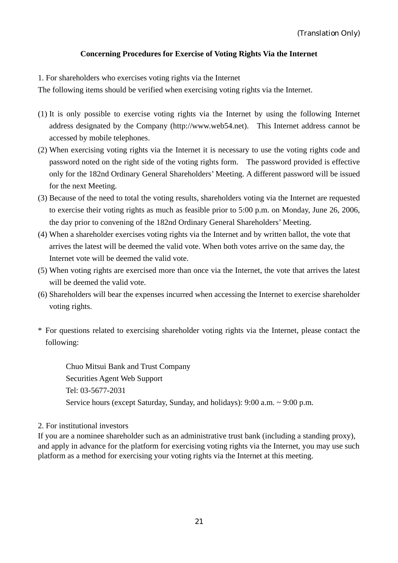# **Concerning Procedures for Exercise of Voting Rights Via the Internet**

1. For shareholders who exercises voting rights via the Internet

The following items should be verified when exercising voting rights via the Internet.

- (1) It is only possible to exercise voting rights via the Internet by using the following Internet address designated by the Company (http://www.web54.net). This Internet address cannot be accessed by mobile telephones.
- (2) When exercising voting rights via the Internet it is necessary to use the voting rights code and password noted on the right side of the voting rights form. The password provided is effective only for the 182nd Ordinary General Shareholders' Meeting. A different password will be issued for the next Meeting.
- (3) Because of the need to total the voting results, shareholders voting via the Internet are requested to exercise their voting rights as much as feasible prior to 5:00 p.m. on Monday, June 26, 2006, the day prior to convening of the 182nd Ordinary General Shareholders' Meeting.
- (4) When a shareholder exercises voting rights via the Internet and by written ballot, the vote that arrives the latest will be deemed the valid vote. When both votes arrive on the same day, the Internet vote will be deemed the valid vote.
- (5) When voting rights are exercised more than once via the Internet, the vote that arrives the latest will be deemed the valid vote.
- (6) Shareholders will bear the expenses incurred when accessing the Internet to exercise shareholder voting rights.
- \* For questions related to exercising shareholder voting rights via the Internet, please contact the following:

Chuo Mitsui Bank and Trust Company Securities Agent Web Support Tel: 03-5677-2031 Service hours (except Saturday, Sunday, and holidays): 9:00 a.m. ~ 9:00 p.m.

### 2. For institutional investors

If you are a nominee shareholder such as an administrative trust bank (including a standing proxy), and apply in advance for the platform for exercising voting rights via the Internet, you may use such platform as a method for exercising your voting rights via the Internet at this meeting.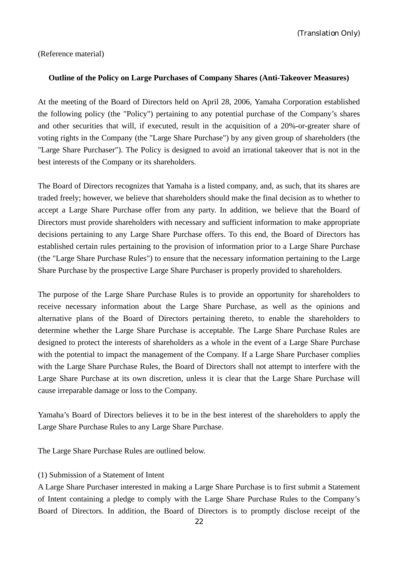(Translation Only)

(Reference material)

#### **Outline of the Policy on Large Purchases of Company Shares (Anti-Takeover Measures)**

At the meeting of the Board of Directors held on April 28, 2006, Yamaha Corporation established the following policy (the "Policy") pertaining to any potential purchase of the Company's shares and other securities that will, if executed, result in the acquisition of a 20%-or-greater share of voting rights in the Company (the "Large Share Purchase") by any given group of shareholders (the "Large Share Purchaser"). The Policy is designed to avoid an irrational takeover that is not in the best interests of the Company or its shareholders.

The Board of Directors recognizes that Yamaha is a listed company, and, as such, that its shares are traded freely; however, we believe that shareholders should make the final decision as to whether to accept a Large Share Purchase offer from any party. In addition, we believe that the Board of Directors must provide shareholders with necessary and sufficient information to make appropriate decisions pertaining to any Large Share Purchase offers. To this end, the Board of Directors has established certain rules pertaining to the provision of information prior to a Large Share Purchase (the "Large Share Purchase Rules") to ensure that the necessary information pertaining to the Large Share Purchase by the prospective Large Share Purchaser is properly provided to shareholders.

The purpose of the Large Share Purchase Rules is to provide an opportunity for shareholders to receive necessary information about the Large Share Purchase, as well as the opinions and alternative plans of the Board of Directors pertaining thereto, to enable the shareholders to determine whether the Large Share Purchase is acceptable. The Large Share Purchase Rules are designed to protect the interests of shareholders as a whole in the event of a Large Share Purchase with the potential to impact the management of the Company. If a Large Share Purchaser complies with the Large Share Purchase Rules, the Board of Directors shall not attempt to interfere with the Large Share Purchase at its own discretion, unless it is clear that the Large Share Purchase will cause irreparable damage or loss to the Company.

Yamaha's Board of Directors believes it to be in the best interest of the shareholders to apply the Large Share Purchase Rules to any Large Share Purchase.

The Large Share Purchase Rules are outlined below.

#### (1) Submission of a Statement of Intent

A Large Share Purchaser interested in making a Large Share Purchase is to first submit a Statement of Intent containing a pledge to comply with the Large Share Purchase Rules to the Company's Board of Directors. In addition, the Board of Directors is to promptly disclose receipt of the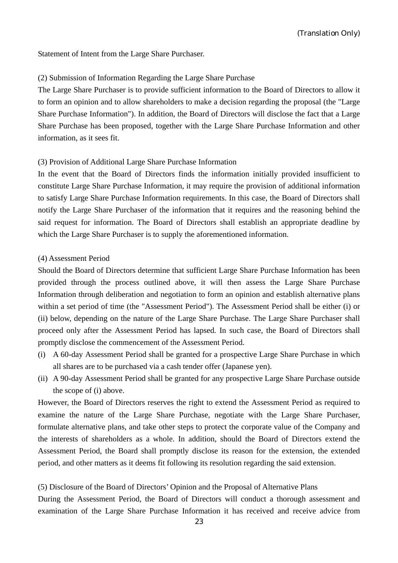Statement of Intent from the Large Share Purchaser.

#### (2) Submission of Information Regarding the Large Share Purchase

The Large Share Purchaser is to provide sufficient information to the Board of Directors to allow it to form an opinion and to allow shareholders to make a decision regarding the proposal (the "Large Share Purchase Information"). In addition, the Board of Directors will disclose the fact that a Large Share Purchase has been proposed, together with the Large Share Purchase Information and other information, as it sees fit.

#### (3) Provision of Additional Large Share Purchase Information

In the event that the Board of Directors finds the information initially provided insufficient to constitute Large Share Purchase Information, it may require the provision of additional information to satisfy Large Share Purchase Information requirements. In this case, the Board of Directors shall notify the Large Share Purchaser of the information that it requires and the reasoning behind the said request for information. The Board of Directors shall establish an appropriate deadline by which the Large Share Purchaser is to supply the aforementioned information.

#### (4) Assessment Period

Should the Board of Directors determine that sufficient Large Share Purchase Information has been provided through the process outlined above, it will then assess the Large Share Purchase Information through deliberation and negotiation to form an opinion and establish alternative plans within a set period of time (the "Assessment Period"). The Assessment Period shall be either (i) or (ii) below, depending on the nature of the Large Share Purchase. The Large Share Purchaser shall proceed only after the Assessment Period has lapsed. In such case, the Board of Directors shall promptly disclose the commencement of the Assessment Period.

- (i) A 60-day Assessment Period shall be granted for a prospective Large Share Purchase in which all shares are to be purchased via a cash tender offer (Japanese yen).
- (ii) A 90-day Assessment Period shall be granted for any prospective Large Share Purchase outside the scope of (i) above.

However, the Board of Directors reserves the right to extend the Assessment Period as required to examine the nature of the Large Share Purchase, negotiate with the Large Share Purchaser, formulate alternative plans, and take other steps to protect the corporate value of the Company and the interests of shareholders as a whole. In addition, should the Board of Directors extend the Assessment Period, the Board shall promptly disclose its reason for the extension, the extended period, and other matters as it deems fit following its resolution regarding the said extension.

#### (5) Disclosure of the Board of Directors' Opinion and the Proposal of Alternative Plans

During the Assessment Period, the Board of Directors will conduct a thorough assessment and examination of the Large Share Purchase Information it has received and receive advice from